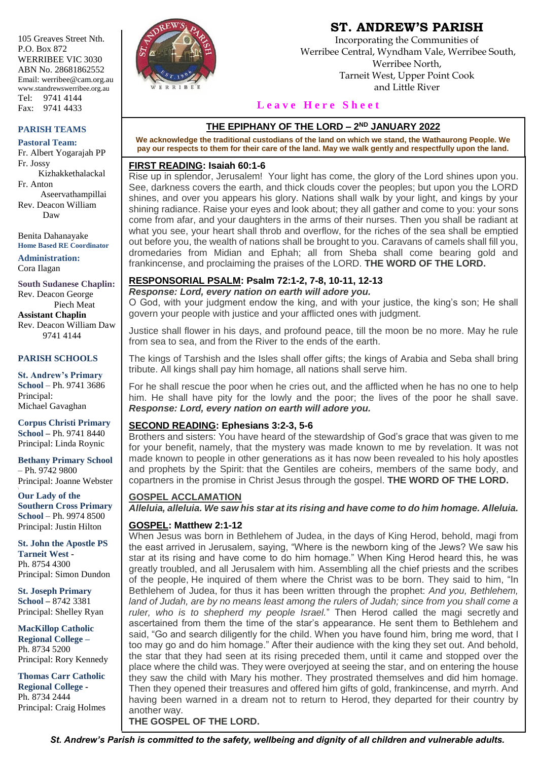105 Greaves Street Nth. P.O. Box 872 WERRIBEE VIC 3030 ABN No. 28681862552 Email: werribee@cam.org.au www.standrewswerribee.org.au Tel: 9741 4144 Fax: 9741 4433

#### **PARISH TEAMS**

**Pastoral Team:** Fr. Albert Yogarajah PP Fr. Jossy Kizhakkethalackal

Fr. Anton Aseervathampillai Rev. Deacon William Daw

Benita Dahanayake **Home Based RE Coordinator**

**Administration:** Cora Ilagan

**South Sudanese Chaplin:** Rev. Deacon George Piech Meat **Assistant Chaplin** Rev. Deacon William Daw 9741 4144

#### **PARISH SCHOOLS**

**St. Andrew's Primary School** – Ph. 9741 3686 Principal: Michael Gavaghan

**Corpus Christi Primary School –** Ph. 9741 8440 Principal: Linda Roynic

**Bethany Primary School** – Ph. 9742 9800 Principal: Joanne Webster

**Our Lady of the Southern Cross Primary School** – Ph. 9974 8500 Principal: Justin Hilton

**St. John the Apostle PS Tarneit West -** Ph. 8754 4300 Principal: Simon Dundon

**St. Joseph Primary School –** 8742 3381 Principal: Shelley Ryan

**MacKillop Catholic Regional College –** Ph. 8734 5200 Principal: Rory Kennedy

**Thomas Carr Catholic Regional College -** Ph. 8734 2444 Principal: Craig Holmes



## **ST. ANDREW'S PARISH**

Incorporating the Communities of Werribee Central, Wyndham Vale, Werribee South, Werribee North, Tarneit West, Upper Point Cook and Little River

#### **L e a v e H e r e S h e e t**

#### **THE EPIPHANY OF THE LORD – 2 ND JANUARY 2022**

**We acknowledge the traditional custodians of the land on which we stand, the Wathaurong People. We pay our respects to them for their care of the land. May we walk gently and respectfully upon the land.**

#### **FIRST READING: Isaiah 60:1-6**

Rise up in splendor, Jerusalem! Your light has come, the glory of the Lord shines upon you. See, darkness covers the earth, and thick clouds cover the peoples; but upon you the LORD shines, and over you appears his glory. Nations shall walk by your light, and kings by your shining radiance. Raise your eyes and look about; they all gather and come to you: your sons come from afar, and your daughters in the arms of their nurses. Then you shall be radiant at what you see, your heart shall throb and overflow, for the riches of the sea shall be emptied out before you, the wealth of nations shall be brought to you. Caravans of camels shall fill you, dromedaries from Midian and Ephah; all from Sheba shall come bearing gold and frankincense, and proclaiming the praises of the LORD. **THE WORD OF THE LORD.**

#### **RESPONSORIAL PSALM: Psalm 72:1-2, 7-8, 10-11, 12-13**

*Response: Lord, every nation on earth will adore you.*

O God, with your judgment endow the king, and with your justice, the king's son; He shall govern your people with justice and your afflicted ones with judgment.

Justice shall flower in his days, and profound peace, till the moon be no more. May he rule from sea to sea, and from the River to the ends of the earth.

The kings of Tarshish and the Isles shall offer gifts; the kings of Arabia and Seba shall bring tribute. All kings shall pay him homage, all nations shall serve him.

For he shall rescue the poor when he cries out, and the afflicted when he has no one to help him. He shall have pity for the lowly and the poor; the lives of the poor he shall save. *Response: Lord, every nation on earth will adore you.*

#### **SECOND READING: Ephesians 3:2-3, 5-6**

Brothers and sisters: You have heard of the stewardship of God's grace that was given to me for your benefit, namely, that the mystery was made known to me by revelation. It was not made known to people in other generations as it has now been revealed to his holy apostles and prophets by the Spirit: that the Gentiles are coheirs, members of the same body, and copartners in the promise in Christ Jesus through the gospel. **THE WORD OF THE LORD.**

#### **GOSPEL ACCLAMATION**

*Alleluia, alleluia. We saw his star at its rising and have come to do him homage. Alleluia.*

#### **GOSPEL: Matthew 2:1-12**

When Jesus was born in Bethlehem of Judea, in the days of King Herod, behold, magi from the east arrived in Jerusalem, saying, "Where is the newborn king of the Jews? We saw his star at its rising and have come to do him homage." When King Herod heard this, he was greatly troubled, and all Jerusalem with him. Assembling all the chief priests and the scribes of the people, He inquired of them where the Christ was to be born. They said to him, "In Bethlehem of Judea, for thus it has been written through the prophet: *And you, Bethlehem, land of Judah, are by no means least among the rulers of Judah; since from you shall come a ruler, who is to shepherd my people Israel.*" Then Herod called the magi secretly and ascertained from them the time of the star's appearance. He sent them to Bethlehem and said, "Go and search diligently for the child. When you have found him, bring me word, that I too may go and do him homage." After their audience with the king they set out. And behold, the star that they had seen at its rising preceded them, until it came and stopped over the place where the child was. They were overjoyed at seeing the star, and on entering the house they saw the child with Mary his mother. They prostrated themselves and did him homage. Then they opened their treasures and offered him gifts of gold, frankincense, and myrrh. And having been warned in a dream not to return to Herod, they departed for their country by another way. **THE GOSPEL OF THE LORD.**

*St. Andrew's Parish is committed to the safety, wellbeing and dignity of all children and vulnerable adults.*